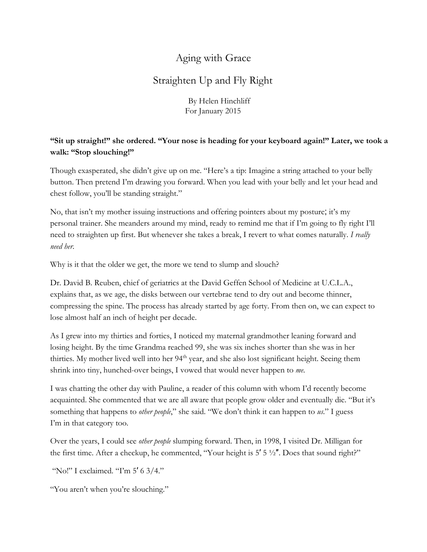## Aging with Grace

## Straighten Up and Fly Right

By Helen Hinchliff For January 2015

## **"Sit up straight!" she ordered. "Your nose is heading for your keyboard again!" Later, we took a walk: "Stop slouching!"**

Though exasperated, she didn't give up on me. "Here's a tip: Imagine a string attached to your belly button. Then pretend I'm drawing you forward. When you lead with your belly and let your head and chest follow, you'll be standing straight."

No, that isn't my mother issuing instructions and offering pointers about my posture; it's my personal trainer. She meanders around my mind, ready to remind me that if I'm going to fly right I'll need to straighten up first. But whenever she takes a break, I revert to what comes naturally. *I really need her*.

Why is it that the older we get, the more we tend to slump and slouch?

Dr. David B. Reuben, chief of geriatrics at the David Geffen School of Medicine at U.C.L.A., explains that, as we age, the disks between our vertebrae tend to dry out and become thinner, compressing the spine. The process has already started by age forty. From then on, we can expect to lose almost half an inch of height per decade.

As I grew into my thirties and forties, I noticed my maternal grandmother leaning forward and losing height. By the time Grandma reached 99, she was six inches shorter than she was in her thirties. My mother lived well into her 94<sup>th</sup> year, and she also lost significant height. Seeing them shrink into tiny, hunched-over beings, I vowed that would never happen to *me*.

I was chatting the other day with Pauline, a reader of this column with whom I'd recently become acquainted. She commented that we are all aware that people grow older and eventually die. "But it's something that happens to *other people*," she said. "We don't think it can happen to *us*." I guess I'm in that category too.

Over the years, I could see *other people* slumping forward. Then, in 1998, I visited Dr. Milligan for the first time. After a checkup, he commented, "Your height is  $5' 5' / 2''$ . Does that sound right?"

"No!" I exclaimed. "I'm 5' 6 3/4."

"You aren't when you're slouching."